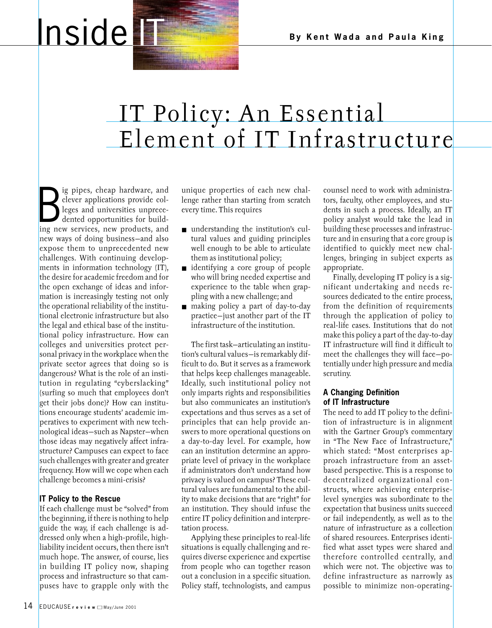# **Inside IT & By Kent Wada and Paula King**

## IT Policy: An Essential Element of IT Infrastructure

B pipes, cheap hardware, and<br>dever applications provide col-<br>leges and universities unprece-<br>dented opportunities for build-<br>ing new services, new products, and ig pipes, cheap hardware, and clever applications provide colleges and universities unprecedented opportunities for buildnew ways of doing business—and also expose them to unprecedented new challenges. With continuing developments in information technology (IT), the desire for academic freedom and for the open exchange of ideas and information is increasingly testing not only the operational reliability of the institutional electronic infrastructure but also the legal and ethical base of the institutional policy infrastructure. How can colleges and universities protect personal privacy in the workplace when the private sector agrees that doing so is dangerous? What is the role of an institution in regulating "cyberslacking" (surfing so much that employees don't get their jobs done)? How can institutions encourage students' academic imperatives to experiment with new technological ideas—such as Napster—when those ideas may negatively affect infrastructure? Campuses can expect to face such challenges with greater and greater frequency. How will we cope when each challenge becomes a mini-crisis?

### **IT Policy to the Rescue**

If each challenge must be "solved" from the beginning, if there is nothing to help guide the way, if each challenge is addressed only when a high-profile, highliability incident occurs, then there isn't much hope. The answer, of course, lies in building IT policy now, shaping process and infrastructure so that campuses have to grapple only with the

unique properties of each new challenge rather than starting from scratch every time. This requires

- understanding the institution's cultural values and guiding principles well enough to be able to articulate them as institutional policy;
- identifying a core group of people who will bring needed expertise and experience to the table when grappling with a new challenge; and
- making policy a part of day-to-day practice—just another part of the IT infrastructure of the institution.

The first task—articulating an institution's cultural values—is remarkably difficult to do. But it serves as a framework that helps keep challenges manageable. Ideally, such institutional policy not only imparts rights and responsibilities but also communicates an institution's expectations and thus serves as a set of principles that can help provide answers to more operational questions on a day-to-day level. For example, how can an institution determine an appropriate level of privacy in the workplace if administrators don't understand how privacy is valued on campus? These cultural values are fundamental to the ability to make decisions that are "right" for an institution. They should infuse the entire IT policy definition and interpretation process.

Applying these principles to real-life situations is equally challenging and requires diverse experience and expertise from people who can together reason out a conclusion in a specific situation. Policy staff, technologists, and campus counsel need to work with administrators, faculty, other employees, and students in such a process. Ideally, an IT policy analyst would take the lead in building these processes and infrastructure and in ensuring that a core group is identified to quickly meet new challenges, bringing in subject experts as appropriate.

Finally, developing IT policy is a significant undertaking and needs resources dedicated to the entire process, from the definition of requirements through the application of policy to real-life cases. Institutions that do not make this policy a part of the day-to-day IT infrastructure will find it difficult to meet the challenges they will face—potentially under high pressure and media scrutiny.

#### **A Changing Definition of IT Infrastructure**

The need to add IT policy to the definition of infrastructure is in alignment with the Gartner Group's commentary in "The New Face of Infrastructure," which stated: "Most enterprises approach infrastructure from an assetbased perspective. This is a response to decentralized organizational constructs, where achieving enterpriselevel synergies was subordinate to the expectation that business units succeed or fail independently, as well as to the nature of infrastructure as a collection of shared resources. Enterprises identified what asset types were shared and therefore controlled centrally, and which were not. The objective was to define infrastructure as narrowly as possible to minimize non-operating